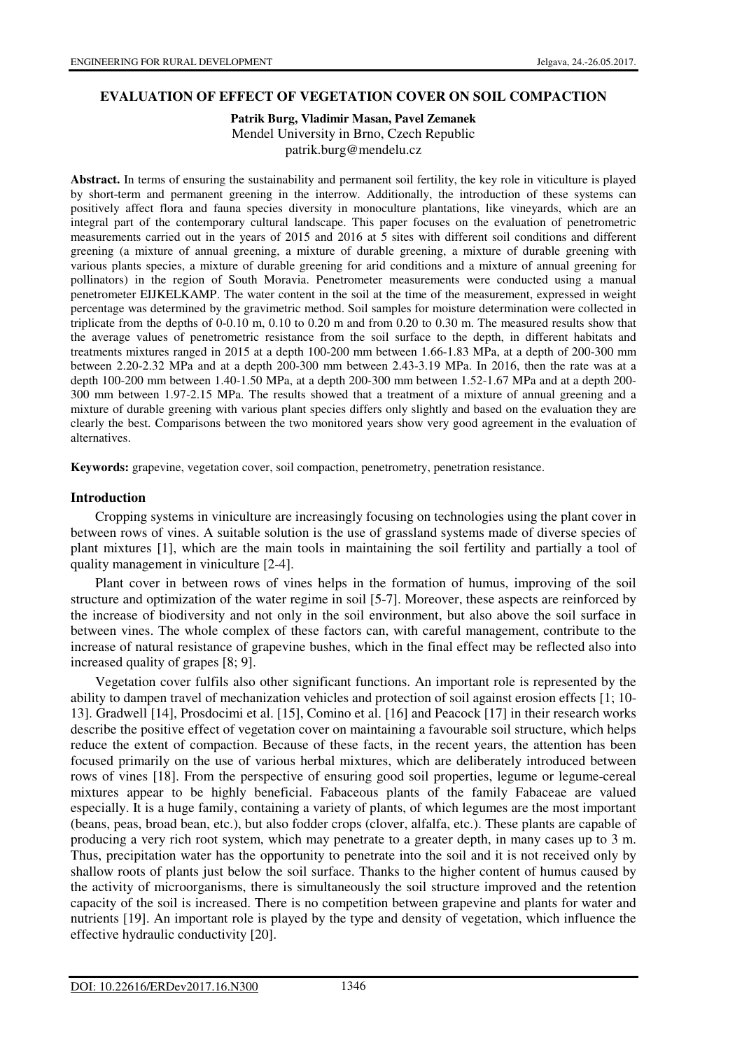## **EVALUATION OF EFFECT OF VEGETATION COVER ON SOIL COMPACTION**

## **Patrik Burg, Vladimir Masan, Pavel Zemanek**  Mendel University in Brno, Czech Republic patrik.burg@mendelu.cz

**Abstract.** In terms of ensuring the sustainability and permanent soil fertility, the key role in viticulture is played by short-term and permanent greening in the interrow. Additionally, the introduction of these systems can positively affect flora and fauna species diversity in monoculture plantations, like vineyards, which are an integral part of the contemporary cultural landscape. This paper focuses on the evaluation of penetrometric measurements carried out in the years of 2015 and 2016 at 5 sites with different soil conditions and different greening (a mixture of annual greening, a mixture of durable greening, a mixture of durable greening with various plants species, a mixture of durable greening for arid conditions and a mixture of annual greening for pollinators) in the region of South Moravia. Penetrometer measurements were conducted using a manual penetrometer EIJKELKAMP. The water content in the soil at the time of the measurement, expressed in weight percentage was determined by the gravimetric method. Soil samples for moisture determination were collected in triplicate from the depths of 0-0.10 m, 0.10 to 0.20 m and from 0.20 to 0.30 m. The measured results show that the average values of penetrometric resistance from the soil surface to the depth, in different habitats and treatments mixtures ranged in 2015 at a depth 100-200 mm between 1.66-1.83 MPa, at a depth of 200-300 mm between 2.20-2.32 MPa and at a depth 200-300 mm between 2.43-3.19 MPa. In 2016, then the rate was at a depth 100-200 mm between 1.40-1.50 MPa, at a depth 200-300 mm between 1.52-1.67 MPa and at a depth 200- 300 mm between 1.97-2.15 MPa. The results showed that a treatment of a mixture of annual greening and a mixture of durable greening with various plant species differs only slightly and based on the evaluation they are clearly the best. Comparisons between the two monitored years show very good agreement in the evaluation of alternatives.

**Keywords:** grapevine, vegetation cover, soil compaction, penetrometry, penetration resistance.

## **Introduction**

Cropping systems in viniculture are increasingly focusing on technologies using the plant cover in between rows of vines. A suitable solution is the use of grassland systems made of diverse species of plant mixtures [1], which are the main tools in maintaining the soil fertility and partially a tool of quality management in viniculture [2-4].

Plant cover in between rows of vines helps in the formation of humus, improving of the soil structure and optimization of the water regime in soil [5-7]. Moreover, these aspects are reinforced by the increase of biodiversity and not only in the soil environment, but also above the soil surface in between vines. The whole complex of these factors can, with careful management, contribute to the increase of natural resistance of grapevine bushes, which in the final effect may be reflected also into increased quality of grapes [8; 9].

Vegetation cover fulfils also other significant functions. An important role is represented by the ability to dampen travel of mechanization vehicles and protection of soil against erosion effects [1; 10- 13]. Gradwell [14], Prosdocimi et al. [15], Comino et al. [16] and Peacock [17] in their research works describe the positive effect of vegetation cover on maintaining a favourable soil structure, which helps reduce the extent of compaction. Because of these facts, in the recent years, the attention has been focused primarily on the use of various herbal mixtures, which are deliberately introduced between rows of vines [18]. From the perspective of ensuring good soil properties, legume or legume-cereal mixtures appear to be highly beneficial. Fabaceous plants of the family Fabaceae are valued especially. It is a huge family, containing a variety of plants, of which legumes are the most important (beans, peas, broad bean, etc.), but also fodder crops (clover, alfalfa, etc.). These plants are capable of producing a very rich root system, which may penetrate to a greater depth, in many cases up to 3 m. Thus, precipitation water has the opportunity to penetrate into the soil and it is not received only by shallow roots of plants just below the soil surface. Thanks to the higher content of humus caused by the activity of microorganisms, there is simultaneously the soil structure improved and the retention capacity of the soil is increased. There is no competition between grapevine and plants for water and nutrients [19]. An important role is played by the type and density of vegetation, which influence the effective hydraulic conductivity [20].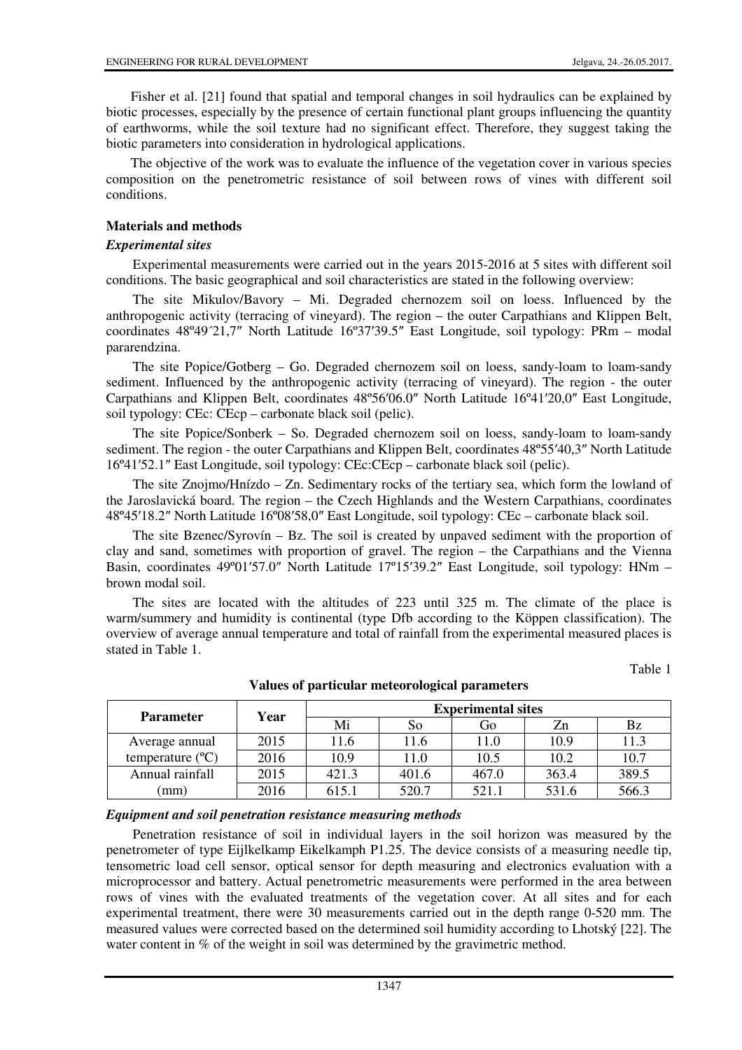Fisher et al. [21] found that spatial and temporal changes in soil hydraulics can be explained by biotic processes, especially by the presence of certain functional plant groups influencing the quantity of earthworms, while the soil texture had no significant effect. Therefore, they suggest taking the biotic parameters into consideration in hydrological applications.

The objective of the work was to evaluate the influence of the vegetation cover in various species composition on the penetrometric resistance of soil between rows of vines with different soil conditions.

## **Materials and methods**

## *Experimental sites*

Experimental measurements were carried out in the years 2015-2016 at 5 sites with different soil conditions. The basic geographical and soil characteristics are stated in the following overview:

The site Mikulov/Bavory – Mi. Degraded chernozem soil on loess. Influenced by the anthropogenic activity (terracing of vineyard). The region – the outer Carpathians and Klippen Belt, coordinates 48º49´21,7″ North Latitude 16º37′39.5″ East Longitude, soil typology: PRm – modal pararendzina.

The site Popice/Gotberg – Go. Degraded chernozem soil on loess, sandy-loam to loam-sandy sediment. Influenced by the anthropogenic activity (terracing of vineyard). The region - the outer Carpathians and Klippen Belt, coordinates 48º56′06.0″ North Latitude 16º41′20,0″ East Longitude, soil typology: CEc: CEcp – carbonate black soil (pelic).

The site Popice/Sonberk – So. Degraded chernozem soil on loess, sandy-loam to loam-sandy sediment. The region - the outer Carpathians and Klippen Belt, coordinates 48°55′40,3″ North Latitude 16º41′52.1″ East Longitude, soil typology: CEc:CEcp – carbonate black soil (pelic).

The site Znojmo/Hnízdo – Zn. Sedimentary rocks of the tertiary sea, which form the lowland of the Jaroslavická board. The region – the Czech Highlands and the Western Carpathians, coordinates 48º45′18.2″ North Latitude 16º08′58,0″ East Longitude, soil typology: CEc – carbonate black soil.

The site Bzenec/Syrovín – Bz. The soil is created by unpaved sediment with the proportion of clay and sand, sometimes with proportion of gravel. The region – the Carpathians and the Vienna Basin, coordinates 49º01′57.0″ North Latitude 17º15′39.2″ East Longitude, soil typology: HNm – brown modal soil.

The sites are located with the altitudes of 223 until 325 m. The climate of the place is warm/summery and humidity is continental (type Dfb according to the Köppen classification). The overview of average annual temperature and total of rainfall from the experimental measured places is stated in Table 1.

Table 1

| <b>Parameter</b>          | Year | <b>Experimental sites</b> |       |       |       |       |  |  |
|---------------------------|------|---------------------------|-------|-------|-------|-------|--|--|
|                           |      | Mi                        | So    | Go    | Zn    | Βz    |  |  |
| Average annual            | 2015 | 11.6                      | 11.6  | 11.0  | 10.9  | 11.3  |  |  |
| temperature $(^{\circ}C)$ | 2016 | 10.9                      | 11.0  | 10.5  | 10.2  | 10.7  |  |  |
| Annual rainfall           | 2015 | 421.3                     | 401.6 | 467.0 | 363.4 | 389.5 |  |  |
| (mm)                      | 2016 | 615.1                     | 520.7 | 521.1 | 531.6 | 566.3 |  |  |

**Values of particular meteorological parameters** 

## *Equipment and soil penetration resistance measuring methods*

Penetration resistance of soil in individual layers in the soil horizon was measured by the penetrometer of type Eijlkelkamp Eikelkamph P1.25. The device consists of a measuring needle tip, tensometric load cell sensor, optical sensor for depth measuring and electronics evaluation with a microprocessor and battery. Actual penetrometric measurements were performed in the area between rows of vines with the evaluated treatments of the vegetation cover. At all sites and for each experimental treatment, there were 30 measurements carried out in the depth range 0-520 mm. The measured values were corrected based on the determined soil humidity according to Lhotský [22]. The water content in % of the weight in soil was determined by the gravimetric method.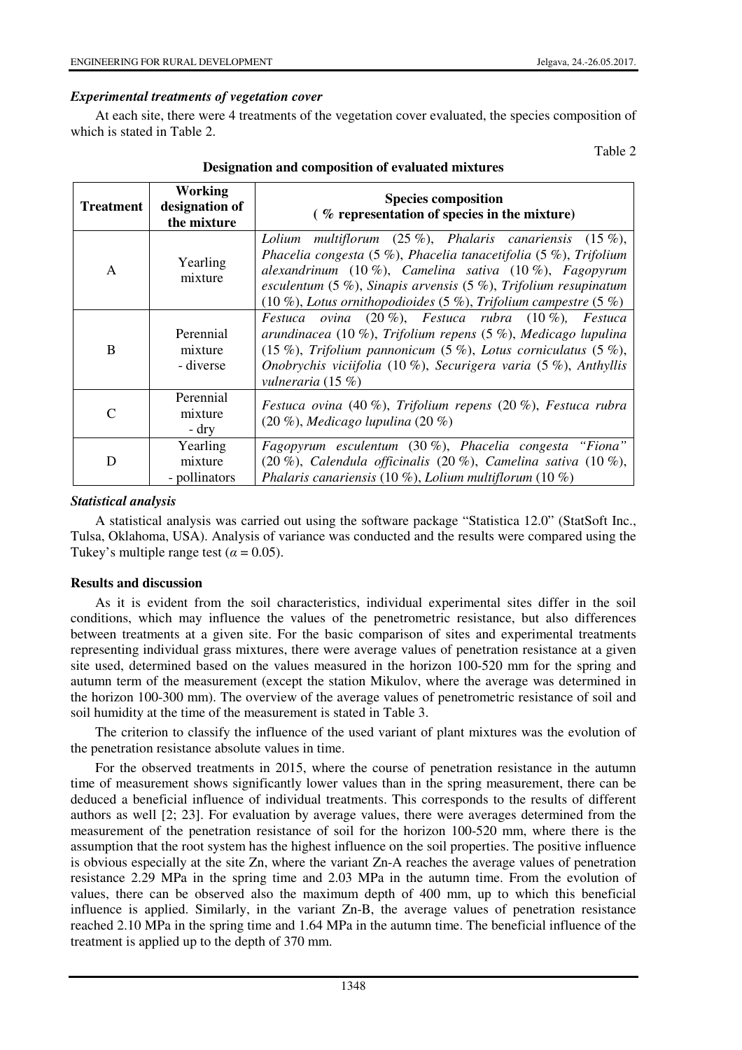Table 2

## *Experimental treatments of vegetation cover*

At each site, there were 4 treatments of the vegetation cover evaluated, the species composition of which is stated in Table 2.

| <b>Treatment</b> | Working<br>designation of<br>the mixture | <b>Species composition</b><br>$\frac{1}{2}$ (% representation of species in the mixture)                                                                                                                                                                                                                                                                    |  |  |  |  |
|------------------|------------------------------------------|-------------------------------------------------------------------------------------------------------------------------------------------------------------------------------------------------------------------------------------------------------------------------------------------------------------------------------------------------------------|--|--|--|--|
| A                | Yearling<br>mixture                      | Lolium multiflorum $(25\%)$ , Phalaris canariensis $(15\%)$ ,<br>Phacelia congesta $(5\%)$ , Phacelia tanacetifolia $(5\%)$ , Trifolium<br>alexandrinum $(10\%)$ , Camelina sativa $(10\%)$ , Fagopyrum<br>esculentum $(5\%)$ , Sinapis arvensis $(5\%)$ , Trifolium resupinatum<br>$(10\%)$ , Lotus ornithopodioides $(5\%)$ , Trifolium campestre $(5\%)$ |  |  |  |  |
| B                | Perennial<br>mixture<br>- diverse        | Festuca ovina $(20\%)$ , Festuca rubra $(10\%)$ , Festuca<br>arundinacea (10 %), Trifolium repens (5 %), Medicago lupulina<br>$(15\%)$ , Trifolium pannonicum $(5\%)$ , Lotus corniculatus $(5\%)$ ,<br>Onobrychis viciifolia (10 %), Securigera varia (5 %), Anthyllis<br>vulneraria $(15\%)$                                                              |  |  |  |  |
| C                | Perennial<br>mixture<br>- dry            | Festuca ovina $(40\%)$ , Trifolium repens $(20\%)$ , Festuca rubra<br>$(20\%)$ , Medicago lupulina $(20\%)$                                                                                                                                                                                                                                                 |  |  |  |  |
| D                | Yearling<br>mixture<br>- pollinators     | Fagopyrum esculentum (30%), Phacelia congesta "Fiona"<br>$(20\%)$ , Calendula officinalis $(20\%)$ , Camelina sativa $(10\%)$ ,<br>Phalaris canariensis (10 %), Lolium multiflorum (10 %)                                                                                                                                                                   |  |  |  |  |

#### **Designation and composition of evaluated mixtures**

#### *Statistical analysis*

A statistical analysis was carried out using the software package "Statistica 12.0" (StatSoft Inc., Tulsa, Oklahoma, USA). Analysis of variance was conducted and the results were compared using the Tukey's multiple range test ( $\alpha$  = 0.05).

#### **Results and discussion**

As it is evident from the soil characteristics, individual experimental sites differ in the soil conditions, which may influence the values of the penetrometric resistance, but also differences between treatments at a given site. For the basic comparison of sites and experimental treatments representing individual grass mixtures, there were average values of penetration resistance at a given site used, determined based on the values measured in the horizon 100-520 mm for the spring and autumn term of the measurement (except the station Mikulov, where the average was determined in the horizon 100-300 mm). The overview of the average values of penetrometric resistance of soil and soil humidity at the time of the measurement is stated in Table 3.

The criterion to classify the influence of the used variant of plant mixtures was the evolution of the penetration resistance absolute values in time.

For the observed treatments in 2015, where the course of penetration resistance in the autumn time of measurement shows significantly lower values than in the spring measurement, there can be deduced a beneficial influence of individual treatments. This corresponds to the results of different authors as well [2; 23]. For evaluation by average values, there were averages determined from the measurement of the penetration resistance of soil for the horizon 100-520 mm, where there is the assumption that the root system has the highest influence on the soil properties. The positive influence is obvious especially at the site Zn, where the variant Zn-A reaches the average values of penetration resistance 2.29 MPa in the spring time and 2.03 MPa in the autumn time. From the evolution of values, there can be observed also the maximum depth of 400 mm, up to which this beneficial influence is applied. Similarly, in the variant Zn-B, the average values of penetration resistance reached 2.10 MPa in the spring time and 1.64 MPa in the autumn time. The beneficial influence of the treatment is applied up to the depth of 370 mm.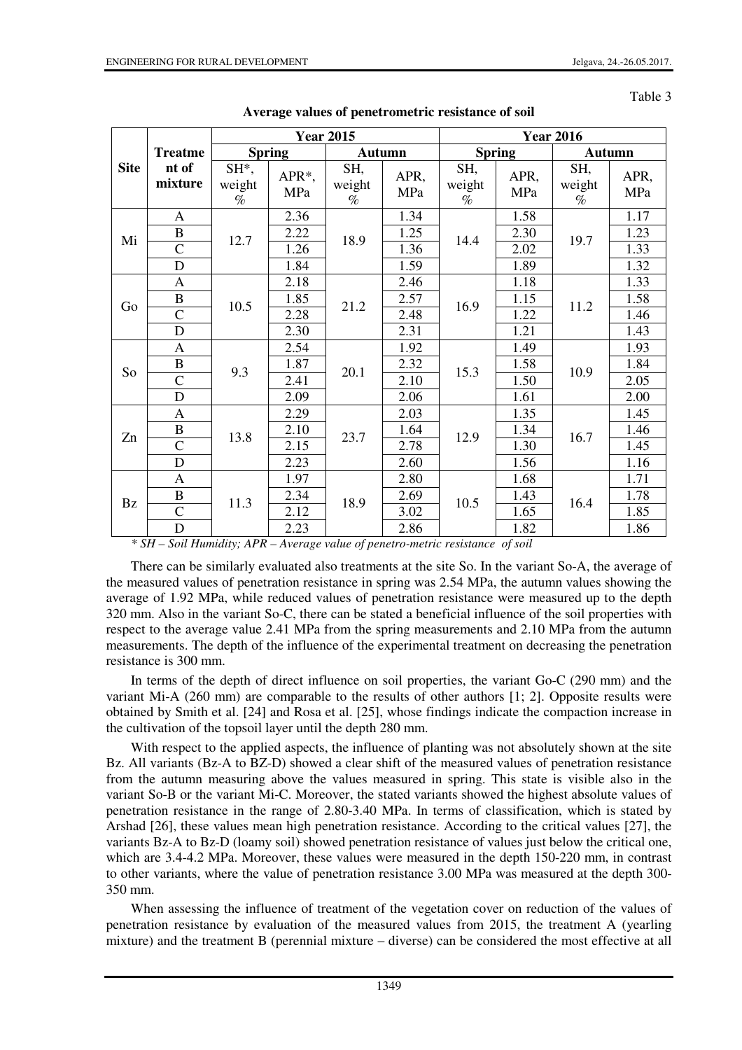Table 3

|             |                                    | <b>Year 2015</b>                    |                  |                       |             | <b>Year 2016</b>      |             |                       |             |
|-------------|------------------------------------|-------------------------------------|------------------|-----------------------|-------------|-----------------------|-------------|-----------------------|-------------|
| <b>Site</b> | <b>Treatme</b><br>nt of<br>mixture | <b>Spring</b>                       |                  | <b>Autumn</b>         |             | <b>Spring</b>         |             | <b>Autumn</b>         |             |
|             |                                    | SH <sup>*</sup> ,<br>weight<br>$\%$ | $APR^*$ ,<br>MPa | SH,<br>weight<br>$\%$ | APR,<br>MPa | SH,<br>weight<br>$\%$ | APR,<br>MPa | SH,<br>weight<br>$\%$ | APR,<br>MPa |
| Mi          | A                                  | 12.7                                | 2.36             | 18.9                  | 1.34        | 14.4                  | 1.58        | 19.7                  | 1.17        |
|             | $\bf{B}$                           |                                     | 2.22             |                       | 1.25        |                       | 2.30        |                       | 1.23        |
|             | $\overline{C}$                     |                                     | 1.26             |                       | 1.36        |                       | 2.02        |                       | 1.33        |
|             | D                                  |                                     | 1.84             |                       | 1.59        |                       | 1.89        |                       | 1.32        |
|             | $\mathbf{A}$                       | 10.5                                | 2.18             |                       | 2.46        | 16.9                  | 1.18        | 11.2                  | 1.33        |
| Go          | $\, {\bf B}$                       |                                     | 1.85             | 21.2                  | 2.57        |                       | 1.15        |                       | 1.58        |
|             | $\overline{C}$                     |                                     | 2.28             |                       | 2.48        |                       | 1.22        |                       | 1.46        |
|             | $\mathbf D$                        |                                     | 2.30             |                       | 2.31        |                       | 1.21        |                       | 1.43        |
|             | A                                  | 9.3                                 | 2.54             | 20.1                  | 1.92        | 15.3                  | 1.49        | 10.9                  | 1.93        |
| So          | $\bf{B}$                           |                                     | 1.87             |                       | 2.32        |                       | 1.58        |                       | 1.84        |
|             | $\overline{C}$                     |                                     | 2.41             |                       | 2.10        |                       | 1.50        |                       | 2.05        |
|             | $\mathbf D$                        |                                     | 2.09             |                       | 2.06        |                       | 1.61        |                       | 2.00        |
|             | $\mathbf{A}$                       | 13.8                                | 2.29             | 23.7                  | 2.03        | 12.9                  | 1.35        | 16.7                  | 1.45        |
| Zn          | $\, {\bf B}$                       |                                     | 2.10             |                       | 1.64        |                       | 1.34        |                       | 1.46        |
|             | $\overline{C}$                     |                                     | 2.15             |                       | 2.78        |                       | 1.30        |                       | 1.45        |
|             | $\mathbf D$                        |                                     | 2.23             |                       | 2.60        |                       | 1.56        |                       | 1.16        |
| <b>Bz</b>   | A                                  |                                     | 1.97             | 18.9                  | 2.80        | 10.5                  | 1.68        | 16.4                  | 1.71        |
|             | $\bf{B}$                           | 11.3                                | 2.34             |                       | 2.69        |                       | 1.43        |                       | 1.78        |
|             | $\overline{C}$                     |                                     | 2.12             |                       | 3.02        |                       | 1.65        |                       | 1.85        |
|             | D                                  |                                     | 2.23             |                       | 2.86        |                       | 1.82        |                       | 1.86        |

**Average values of penetrometric resistance of soil** 

*\* SH – Soil Humidity; APR – Average value of penetro-metric resistance of soil* 

There can be similarly evaluated also treatments at the site So. In the variant So-A, the average of the measured values of penetration resistance in spring was 2.54 MPa, the autumn values showing the average of 1.92 MPa, while reduced values of penetration resistance were measured up to the depth 320 mm. Also in the variant So-C, there can be stated a beneficial influence of the soil properties with respect to the average value 2.41 MPa from the spring measurements and 2.10 MPa from the autumn measurements. The depth of the influence of the experimental treatment on decreasing the penetration resistance is 300 mm.

In terms of the depth of direct influence on soil properties, the variant Go-C (290 mm) and the variant Mi-A (260 mm) are comparable to the results of other authors [1; 2]. Opposite results were obtained by Smith et al. [24] and Rosa et al. [25], whose findings indicate the compaction increase in the cultivation of the topsoil layer until the depth 280 mm.

With respect to the applied aspects, the influence of planting was not absolutely shown at the site Bz. All variants (Bz-A to BZ-D) showed a clear shift of the measured values of penetration resistance from the autumn measuring above the values measured in spring. This state is visible also in the variant So-B or the variant Mi-C. Moreover, the stated variants showed the highest absolute values of penetration resistance in the range of 2.80-3.40 MPa. In terms of classification, which is stated by Arshad [26], these values mean high penetration resistance. According to the critical values [27], the variants Bz-A to Bz-D (loamy soil) showed penetration resistance of values just below the critical one, which are 3.4-4.2 MPa. Moreover, these values were measured in the depth 150-220 mm, in contrast to other variants, where the value of penetration resistance 3.00 MPa was measured at the depth 300- 350 mm.

When assessing the influence of treatment of the vegetation cover on reduction of the values of penetration resistance by evaluation of the measured values from 2015, the treatment A (yearling mixture) and the treatment B (perennial mixture – diverse) can be considered the most effective at all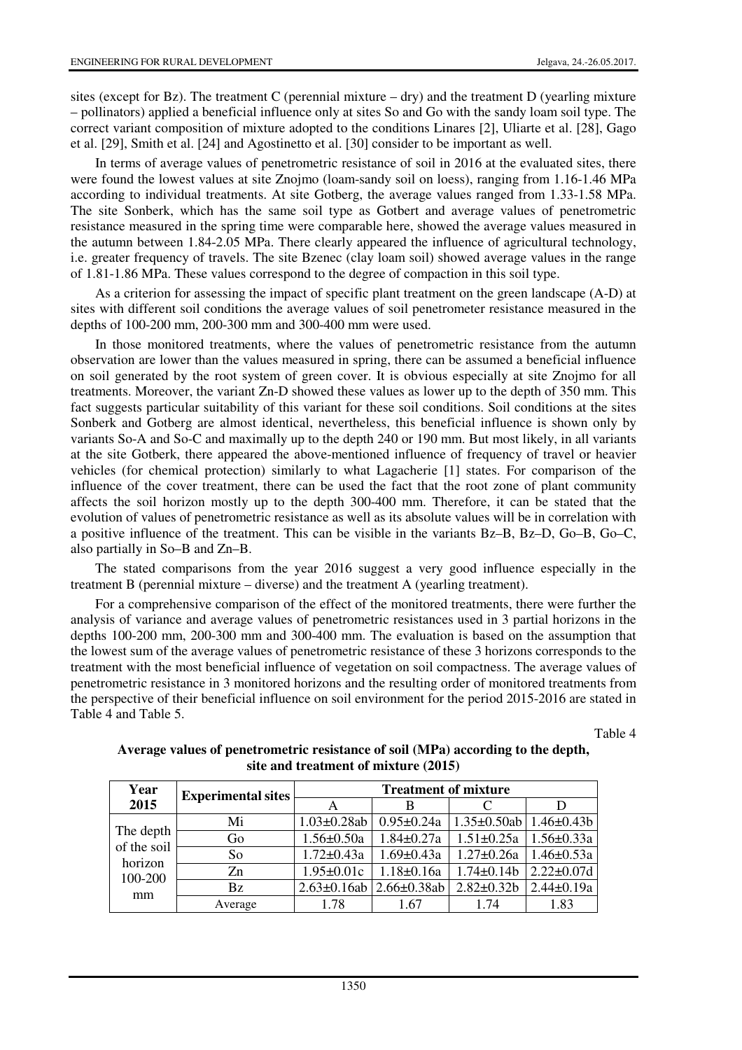sites (except for Bz). The treatment C (perennial mixture  $-$  dry) and the treatment D (yearling mixture – pollinators) applied a beneficial influence only at sites So and Go with the sandy loam soil type. The correct variant composition of mixture adopted to the conditions Linares [2], Uliarte et al. [28], Gago et al. [29], Smith et al. [24] and Agostinetto et al. [30] consider to be important as well.

In terms of average values of penetrometric resistance of soil in 2016 at the evaluated sites, there were found the lowest values at site Znojmo (loam-sandy soil on loess), ranging from 1.16-1.46 MPa according to individual treatments. At site Gotberg, the average values ranged from 1.33-1.58 MPa. The site Sonberk, which has the same soil type as Gotbert and average values of penetrometric resistance measured in the spring time were comparable here, showed the average values measured in the autumn between 1.84-2.05 MPa. There clearly appeared the influence of agricultural technology, i.e. greater frequency of travels. The site Bzenec (clay loam soil) showed average values in the range of 1.81-1.86 MPa. These values correspond to the degree of compaction in this soil type.

As a criterion for assessing the impact of specific plant treatment on the green landscape (A-D) at sites with different soil conditions the average values of soil penetrometer resistance measured in the depths of 100-200 mm, 200-300 mm and 300-400 mm were used.

In those monitored treatments, where the values of penetrometric resistance from the autumn observation are lower than the values measured in spring, there can be assumed a beneficial influence on soil generated by the root system of green cover. It is obvious especially at site Znojmo for all treatments. Moreover, the variant Zn-D showed these values as lower up to the depth of 350 mm. This fact suggests particular suitability of this variant for these soil conditions. Soil conditions at the sites Sonberk and Gotberg are almost identical, nevertheless, this beneficial influence is shown only by variants So-A and So-C and maximally up to the depth 240 or 190 mm. But most likely, in all variants at the site Gotberk, there appeared the above-mentioned influence of frequency of travel or heavier vehicles (for chemical protection) similarly to what Lagacherie [1] states. For comparison of the influence of the cover treatment, there can be used the fact that the root zone of plant community affects the soil horizon mostly up to the depth 300-400 mm. Therefore, it can be stated that the evolution of values of penetrometric resistance as well as its absolute values will be in correlation with a positive influence of the treatment. This can be visible in the variants Bz–B, Bz–D, Go–B, Go–C, also partially in So–B and Zn–B.

The stated comparisons from the year 2016 suggest a very good influence especially in the treatment B (perennial mixture – diverse) and the treatment A (yearling treatment).

For a comprehensive comparison of the effect of the monitored treatments, there were further the analysis of variance and average values of penetrometric resistances used in 3 partial horizons in the depths 100-200 mm, 200-300 mm and 300-400 mm. The evaluation is based on the assumption that the lowest sum of the average values of penetrometric resistance of these 3 horizons corresponds to the treatment with the most beneficial influence of vegetation on soil compactness. The average values of penetrometric resistance in 3 monitored horizons and the resulting order of monitored treatments from the perspective of their beneficial influence on soil environment for the period 2015-2016 are stated in Table 4 and Table 5.

Table 4

| Year                                                 | <b>Experimental sites</b> | <b>Treatment of mixture</b> |                                   |                                  |                  |  |
|------------------------------------------------------|---------------------------|-----------------------------|-----------------------------------|----------------------------------|------------------|--|
| 2015                                                 |                           | А                           |                                   |                                  |                  |  |
| The depth<br>of the soil<br>horizon<br>100-200<br>mm | Mi                        | $1.03 \pm 0.28$ ab          | $0.95 \pm 0.24a$                  | $1.35\pm0.50ab$   $1.46\pm0.43b$ |                  |  |
|                                                      | Go                        | $1.56 \pm 0.50a$            | $1.84 \pm 0.27a$                  | $1.51 \pm 0.25a$                 | $1.56 \pm 0.33a$ |  |
|                                                      | So                        | $1.72 \pm 0.43a$            | $1.69 \pm 0.43a$                  | $1.27 \pm 0.26a$                 | $1.46 \pm 0.53a$ |  |
|                                                      | Zn                        | $1.95 \pm 0.01c$            | $1.18 \pm 0.16a$                  | $1.74 \pm 0.14$                  | $2.22 \pm 0.07d$ |  |
|                                                      | Bz                        |                             | $2.63\pm0.16ab$ 2.66 $\pm$ 0.38ab | $2.82 \pm 0.32 b$                | $2.44 \pm 0.19a$ |  |
|                                                      | Average                   | 1.78                        | 1.67                              | 1.74                             | 1.83             |  |

**Average values of penetrometric resistance of soil (MPa) according to the depth, site and treatment of mixture (2015)**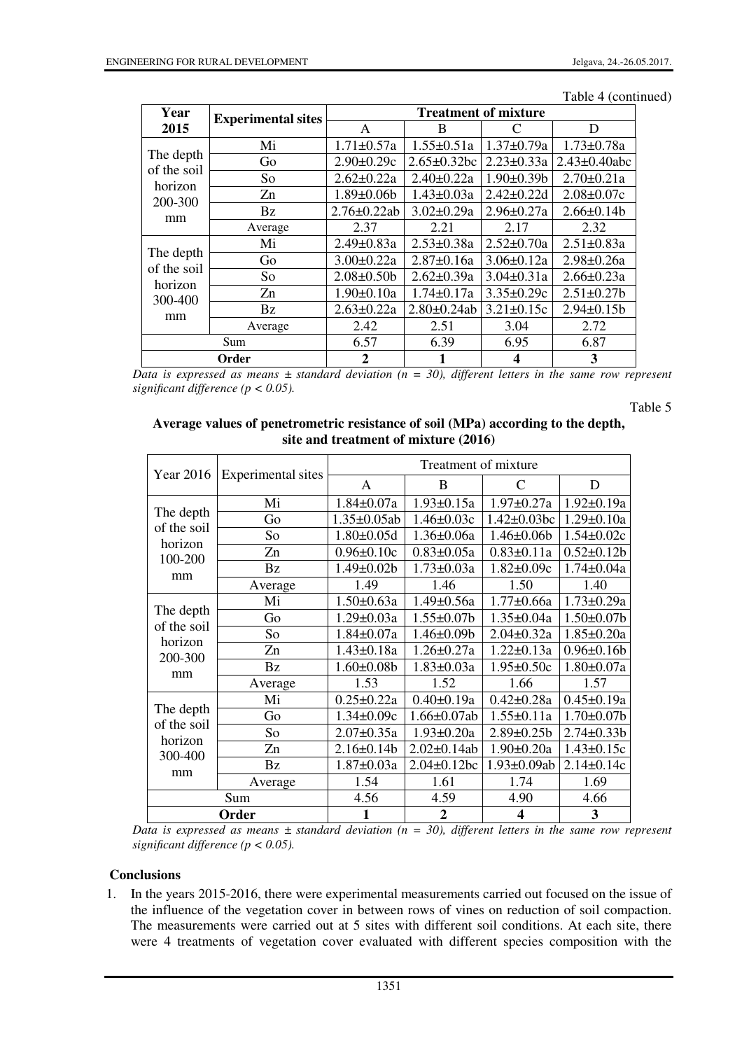| Year                     | <b>Experimental sites</b> | <b>Treatment of mixture</b> |                    |                  |                     |  |
|--------------------------|---------------------------|-----------------------------|--------------------|------------------|---------------------|--|
| 2015                     |                           | A                           | B                  | $\mathcal{C}$    | D                   |  |
| The depth                | Mi                        | $1.71 \pm 0.57a$            | $1.55 \pm 0.51a$   | $1.37 \pm 0.79a$ | $1.73 \pm 0.78a$    |  |
|                          | Go                        | $2.90 \pm 0.29c$            | $2.65 \pm 0.32$ bc | $2.23 \pm 0.33a$ | $2.43 \pm 0.40$ abc |  |
| of the soil<br>horizon   | So                        | $2.62 \pm 0.22a$            | $2.40 \pm 0.22a$   | $1.90 \pm 0.39$  | $2.70 \pm 0.21a$    |  |
| 200-300                  | Zn                        | $1.89 \pm 0.06$             | $1.43 \pm 0.03a$   | $2.42 \pm 0.22d$ | $2.08 \pm 0.07c$    |  |
| mm                       | <b>Bz</b>                 | $2.76 \pm 0.22$ ab          | $3.02 \pm 0.29a$   | $2.96 \pm 0.27a$ | $2.66 \pm 0.14$     |  |
|                          | Average                   | 2.37                        | 2.21               | 2.17             | 2.32                |  |
|                          | Mi                        | $2.49 \pm 0.83a$            | $2.53 \pm 0.38a$   | $2.52 \pm 0.70a$ | $2.51 \pm 0.83a$    |  |
| The depth<br>of the soil | Go                        | $3.00 \pm 0.22a$            | $2.87 \pm 0.16a$   | $3.06 \pm 0.12a$ | $2.98 \pm 0.26a$    |  |
| horizon<br>300-400<br>mm | So                        | $2.08 \pm 0.50$             | $2.62 \pm 0.39a$   | $3.04 \pm 0.31a$ | $2.66 \pm 0.23a$    |  |
|                          | Zn                        | $1.90 \pm 0.10a$            | $1.74 \pm 0.17a$   | $3.35 \pm 0.29c$ | $2.51 \pm 0.27$     |  |
|                          | Bz                        | $2.63 \pm 0.22a$            | $2.80 \pm 0.24$ ab | $3.21 \pm 0.15c$ | $2.94 \pm 0.15b$    |  |
|                          | Average                   | 2.42                        | 2.51               | 3.04             | 2.72                |  |
| Sum                      |                           | 6.57                        | 6.39               | 6.95             | 6.87                |  |
| Order                    |                           | $\mathbf{2}$                |                    | 4                | 3                   |  |

Table 4 (continued)

*Data is expressed as means ± standard deviation (n = 30), different letters in the same row represent significant difference (p < 0.05).* 

# Table 5

## **Average values of penetrometric resistance of soil (MPa) according to the depth, site and treatment of mixture (2016)**

| Year 2016                                            | Experimental sites | Treatment of mixture |                    |                    |                   |  |  |
|------------------------------------------------------|--------------------|----------------------|--------------------|--------------------|-------------------|--|--|
|                                                      |                    | A                    | B                  | C                  | D                 |  |  |
|                                                      | Mi                 | $1.84 \pm 0.07a$     | $1.93 \pm 0.15a$   | $1.97 \pm 0.27a$   | $1.92 \pm 0.19a$  |  |  |
| The depth                                            | Go                 | $1.35 \pm 0.05$ ab   | $1.46 \pm 0.03c$   | $1.42 \pm 0.03$ bc | $1.29 \pm 0.10a$  |  |  |
| of the soil<br>horizon                               | So                 | $1.80 \pm 0.05d$     | $1.36 \pm 0.06a$   | $1.46 \pm 0.06 b$  | $1.54 \pm 0.02c$  |  |  |
| 100-200                                              | Zn                 | $0.96 \pm 0.10c$     | $0.83 \pm 0.05a$   | $0.83 \pm 0.11a$   | $0.52 \pm 0.12b$  |  |  |
| mm                                                   | <b>Bz</b>          | 1.49±0.02b           | $1.73 \pm 0.03a$   | $1.82 \pm 0.09c$   | $1.74 \pm 0.04a$  |  |  |
|                                                      | Average            | 1.49                 | 1.46               | 1.50               | 1.40              |  |  |
|                                                      | Mi                 | $1.50 \pm 0.63a$     | $1.49 \pm 0.56a$   | $1.77 \pm 0.66a$   | $1.73 \pm 0.29a$  |  |  |
| The depth                                            | Go                 | $1.29 \pm 0.03a$     | $1.55 \pm 0.07$ b  | $1.35 \pm 0.04a$   | $1.50 \pm 0.07$ b |  |  |
| of the soil<br>horizon                               | So                 | $1.84 \pm 0.07a$     | $1.46 \pm 0.09$    | $2.04 \pm 0.32a$   | $1.85 \pm 0.20a$  |  |  |
| 200-300                                              | Zn                 | $1.43 \pm 0.18a$     | $1.26 \pm 0.27a$   | $1.22 \pm 0.13a$   | $0.96 \pm 0.16b$  |  |  |
| mm                                                   | <b>Bz</b>          | $1.60 \pm 0.08$      | $1.83 \pm 0.03a$   | $1.95 \pm 0.50c$   | $1.80 \pm 0.07a$  |  |  |
|                                                      | Average            | 1.53                 | 1.52               | 1.66               | 1.57              |  |  |
| The depth<br>of the soil<br>horizon<br>300-400<br>mm | Mi                 | $0.25 \pm 0.22a$     | $0.40 \pm 0.19a$   | $0.42 \pm 0.28a$   | $0.45 \pm 0.19a$  |  |  |
|                                                      | Go                 | $1.34 \pm 0.09c$     | $1.66 \pm 0.07$ ab | $1.55 \pm 0.11a$   | $1.70 \pm 0.07$ b |  |  |
|                                                      | So                 | $2.07 \pm 0.35a$     | $1.93 \pm 0.20a$   | $2.89 \pm 0.25 b$  | $2.74 \pm 0.33 b$ |  |  |
|                                                      | Zn                 | $2.16 \pm 0.14$      | $2.02 \pm 0.14$ ab | $1.90 \pm 0.20a$   | $1.43 \pm 0.15c$  |  |  |
|                                                      | <b>Bz</b>          | $1.87 \pm 0.03a$     | $2.04 \pm 0.12$ bc | $1.93 \pm 0.09$ ab | $2.14 \pm 0.14c$  |  |  |
|                                                      | Average            | 1.54                 | 1.61               | 1.74               | 1.69              |  |  |
| Sum                                                  |                    | 4.56                 | 4.59               | 4.90               | 4.66              |  |  |
| Order                                                |                    | 1                    | $\boldsymbol{2}$   | 4                  | 3                 |  |  |

*Data is expressed as means*  $\pm$  *standard deviation* ( $n = 30$ ), different letters in the same row represent *significant difference (p < 0.05).*

## **Conclusions**

1. In the years 2015-2016, there were experimental measurements carried out focused on the issue of the influence of the vegetation cover in between rows of vines on reduction of soil compaction. The measurements were carried out at 5 sites with different soil conditions. At each site, there were 4 treatments of vegetation cover evaluated with different species composition with the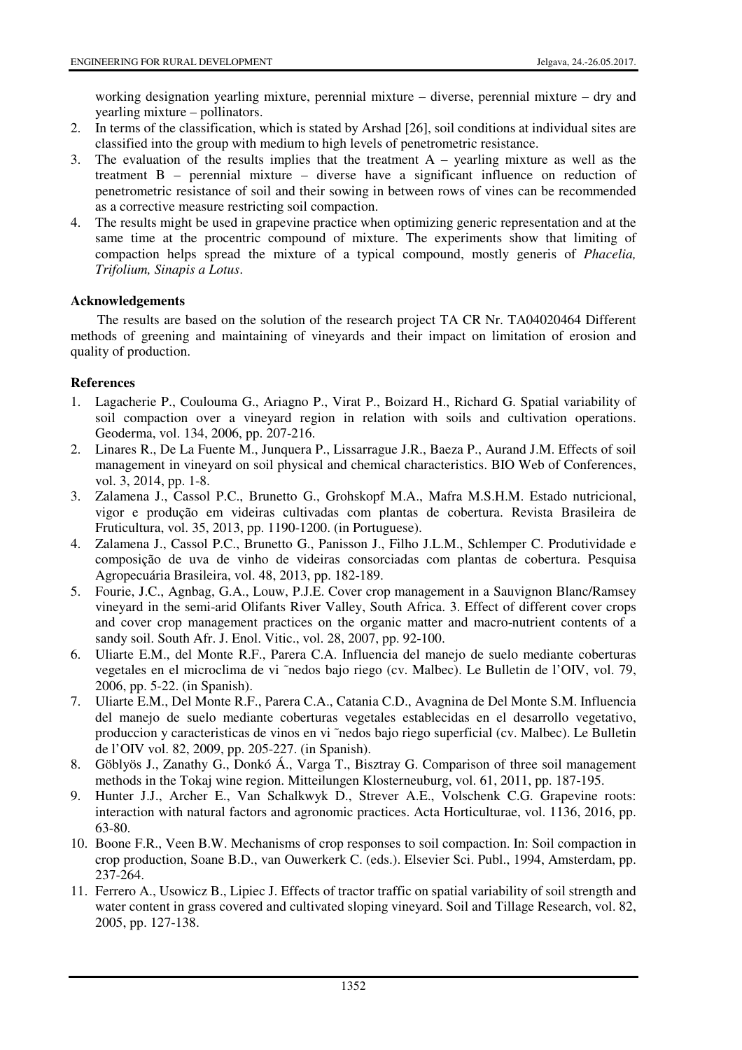working designation yearling mixture, perennial mixture – diverse, perennial mixture – dry and yearling mixture – pollinators.

- 2. In terms of the classification, which is stated by Arshad [26], soil conditions at individual sites are classified into the group with medium to high levels of penetrometric resistance.
- 3. The evaluation of the results implies that the treatment A yearling mixture as well as the treatment B – perennial mixture – diverse have a significant influence on reduction of penetrometric resistance of soil and their sowing in between rows of vines can be recommended as a corrective measure restricting soil compaction.
- 4. The results might be used in grapevine practice when optimizing generic representation and at the same time at the procentric compound of mixture. The experiments show that limiting of compaction helps spread the mixture of a typical compound, mostly generis of *Phacelia, Trifolium, Sinapis a Lotus*.

## **Acknowledgements**

The results are based on the solution of the research project TA CR Nr. TA04020464 Different methods of greening and maintaining of vineyards and their impact on limitation of erosion and quality of production.

## **References**

- 1. Lagacherie P., Coulouma G., Ariagno P., Virat P., Boizard H., Richard G. Spatial variability of soil compaction over a vineyard region in relation with soils and cultivation operations. Geoderma, vol. 134, 2006, pp. 207-216.
- 2. Linares R., De La Fuente M., Junquera P., Lissarrague J.R., Baeza P., Aurand J.M. Effects of soil management in vineyard on soil physical and chemical characteristics. BIO Web of Conferences, vol. 3, 2014, pp. 1-8.
- 3. Zalamena J., Cassol P.C., Brunetto G., Grohskopf M.A., Mafra M.S.H.M. Estado nutricional, vigor e produção em videiras cultivadas com plantas de cobertura. Revista Brasileira de Fruticultura, vol. 35, 2013, pp. 1190-1200. (in Portuguese).
- 4. Zalamena J., Cassol P.C., Brunetto G., Panisson J., Filho J.L.M., Schlemper C. Produtividade e composição de uva de vinho de videiras consorciadas com plantas de cobertura. Pesquisa Agropecuária Brasileira, vol. 48, 2013, pp. 182-189.
- 5. Fourie, J.C., Agnbag, G.A., Louw, P.J.E. Cover crop management in a Sauvignon Blanc/Ramsey vineyard in the semi-arid Olifants River Valley, South Africa. 3. Effect of different cover crops and cover crop management practices on the organic matter and macro-nutrient contents of a sandy soil. South Afr. J. Enol. Vitic., vol. 28, 2007, pp. 92-100.
- 6. Uliarte E.M., del Monte R.F., Parera C.A. Influencia del manejo de suelo mediante coberturas vegetales en el microclima de vi ˜nedos bajo riego (cv. Malbec). Le Bulletin de l'OIV, vol. 79, 2006, pp. 5-22. (in Spanish).
- 7. Uliarte E.M., Del Monte R.F., Parera C.A., Catania C.D., Avagnina de Del Monte S.M. Influencia del manejo de suelo mediante coberturas vegetales establecidas en el desarrollo vegetativo, produccion y caracteristicas de vinos en vi ˜nedos bajo riego superficial (cv. Malbec). Le Bulletin de l'OIV vol. 82, 2009, pp. 205-227. (in Spanish).
- 8. Göblyös J., Zanathy G., Donkó Á., Varga T., Bisztray G. Comparison of three soil management methods in the Tokaj wine region. Mitteilungen Klosterneuburg, vol. 61, 2011, pp. 187-195.
- 9. Hunter J.J., Archer E., Van Schalkwyk D., Strever A.E., Volschenk C.G. Grapevine roots: interaction with natural factors and agronomic practices. Acta Horticulturae, vol. 1136, 2016, pp. 63-80.
- 10. Boone F.R., Veen B.W. Mechanisms of crop responses to soil compaction. In: Soil compaction in crop production, Soane B.D., van Ouwerkerk C. (eds.). Elsevier Sci. Publ., 1994, Amsterdam, pp. 237-264.
- 11. Ferrero A., Usowicz B., Lipiec J. Effects of tractor traffic on spatial variability of soil strength and water content in grass covered and cultivated sloping vineyard. Soil and Tillage Research, vol. 82, 2005, pp. 127-138.